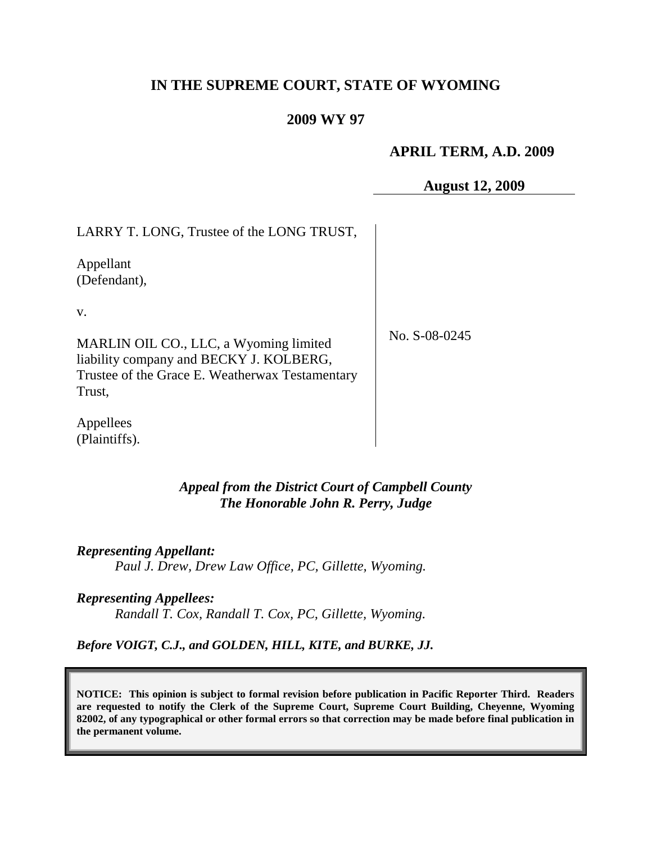# **IN THE SUPREME COURT, STATE OF WYOMING**

#### **2009 WY 97**

#### **APRIL TERM, A.D. 2009**

**August 12, 2009**

| LARRY T. LONG, Trustee of the LONG TRUST,                                                                                                      |               |
|------------------------------------------------------------------------------------------------------------------------------------------------|---------------|
| Appellant<br>(Defendant),                                                                                                                      |               |
| V.                                                                                                                                             |               |
| MARLIN OIL CO., LLC, a Wyoming limited<br>liability company and BECKY J. KOLBERG,<br>Trustee of the Grace E. Weatherwax Testamentary<br>Trust, | No. S-08-0245 |
| Appellees<br>(Plaintiffs).                                                                                                                     |               |

## *Appeal from the District Court of Campbell County The Honorable John R. Perry, Judge*

*Representing Appellant: Paul J. Drew, Drew Law Office, PC, Gillette, Wyoming.*

*Representing Appellees: Randall T. Cox, Randall T. Cox, PC, Gillette, Wyoming.*

*Before VOIGT, C.J., and GOLDEN, HILL, KITE, and BURKE, JJ.*

**NOTICE: This opinion is subject to formal revision before publication in Pacific Reporter Third. Readers are requested to notify the Clerk of the Supreme Court, Supreme Court Building, Cheyenne, Wyoming 82002, of any typographical or other formal errors so that correction may be made before final publication in the permanent volume.**